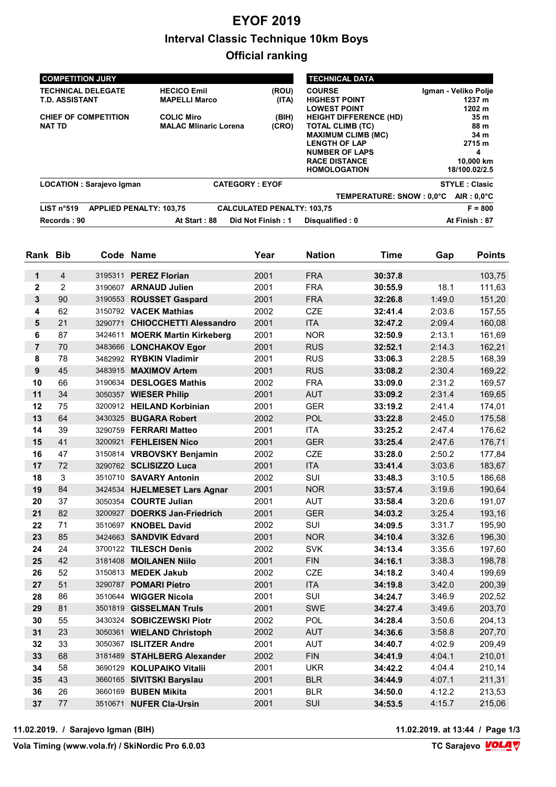## **EYOF 2019 Interval Classic Technique 10km Boys Official ranking**

| <b>COMPETITION JURY</b>                            |                                                   |                                   | <b>TECHNICAL DATA</b>                                                                                                                                                                 |                                                                              |
|----------------------------------------------------|---------------------------------------------------|-----------------------------------|---------------------------------------------------------------------------------------------------------------------------------------------------------------------------------------|------------------------------------------------------------------------------|
| <b>TECHNICAL DELEGATE</b><br><b>T.D. ASSISTANT</b> | <b>HECICO Emil</b><br><b>MAPELLI Marco</b>        | (ROU)<br>(ITA)                    | <b>COURSE</b><br><b>HIGHEST POINT</b><br><b>LOWEST POINT</b>                                                                                                                          | Igman - Veliko Polje<br>1237 m<br>1202 m                                     |
| CHIEF OF COMPETITION<br><b>NAT TD</b>              | <b>COLIC Miro</b><br><b>MALAC Mlinaric Lorena</b> | (BIH)<br>(CRO)                    | <b>HEIGHT DIFFERENCE (HD)</b><br><b>TOTAL CLIMB (TC)</b><br><b>MAXIMUM CLIMB (MC)</b><br><b>LENGTH OF LAP</b><br><b>NUMBER OF LAPS</b><br><b>RACE DISTANCE</b><br><b>HOMOLOGATION</b> | 35 <sub>m</sub><br>88 m<br>34 m<br>2715 m<br>4<br>10,000 km<br>18/100.02/2.5 |
| <b>LOCATION: Sarajevo Igman</b>                    | <b>CATEGORY: EYOF</b>                             |                                   |                                                                                                                                                                                       | <b>STYLE: Clasic</b>                                                         |
| LIST n°519<br><b>APPLIED PENALTY: 103,75</b>       |                                                   | <b>CALCULATED PENALTY: 103,75</b> | TEMPERATURE: SNOW : 0.0°C                                                                                                                                                             | $AIR: 0.0^{\circ}C$<br>$F = 800$                                             |
| Records: 90                                        | At Start: 88                                      | Did Not Finish: 1                 | Disqualified: 0                                                                                                                                                                       | At Finish: 87                                                                |

| Rank Bib       |                | Code Name                      | Year | <b>Nation</b> | Time    | Gap    | <b>Points</b> |
|----------------|----------------|--------------------------------|------|---------------|---------|--------|---------------|
| $\mathbf{1}$   | $\overline{4}$ | 3195311 PEREZ Florian          | 2001 | <b>FRA</b>    | 30:37.8 |        | 103,75        |
| $\mathbf{2}$   | $\overline{2}$ | 3190607 ARNAUD Julien          | 2001 | <b>FRA</b>    | 30:55.9 | 18.1   | 111,63        |
| $\mathbf{3}$   | 90             | 3190553 ROUSSET Gaspard        | 2001 | <b>FRA</b>    | 32:26.8 | 1:49.0 | 151,20        |
| 4              | 62             | 3150792 VACEK Mathias          | 2002 | <b>CZE</b>    | 32:41.4 | 2:03.6 | 157,55        |
| 5              | 21             | 3290771 CHIOCCHETTI Alessandro | 2001 | <b>ITA</b>    | 32:47.2 | 2:09.4 | 160,08        |
| 6              | 87             | 3424611 MOERK Martin Kirkeberg | 2001 | <b>NOR</b>    | 32:50.9 | 2:13.1 | 161,69        |
| $\overline{7}$ | 70             | 3483666 LONCHAKOV Egor         | 2001 | <b>RUS</b>    | 32:52.1 | 2:14.3 | 162,21        |
| 8              | 78             | 3482992 RYBKIN Vladimir        | 2001 | <b>RUS</b>    | 33:06.3 | 2:28.5 | 168,39        |
| $\mathbf{9}$   | 45             | 3483915 MAXIMOV Artem          | 2001 | <b>RUS</b>    | 33:08.2 | 2:30.4 | 169,22        |
| 10             | 66             | 3190634 DESLOGES Mathis        | 2002 | <b>FRA</b>    | 33:09.0 | 2:31.2 | 169,57        |
| 11             | 34             | 3050357 WIESER Philip          | 2001 | <b>AUT</b>    | 33:09.2 | 2:31.4 | 169,65        |
| 12             | 75             | 3200912 HEILAND Korbinian      | 2001 | <b>GER</b>    | 33:19.2 | 2:41.4 | 174,01        |
| 13             | 64             | 3430325 BUGARA Robert          | 2002 | POL           | 33:22.8 | 2:45.0 | 175,58        |
| 14             | 39             | 3290759 FERRARI Matteo         | 2001 | <b>ITA</b>    | 33:25.2 | 2:47.4 | 176,62        |
| 15             | 41             | 3200921 FEHLEISEN Nico         | 2001 | <b>GER</b>    | 33:25.4 | 2:47.6 | 176,71        |
| 16             | 47             | 3150814 VRBOVSKY Benjamin      | 2002 | <b>CZE</b>    | 33:28.0 | 2:50.2 | 177,84        |
| 17             | 72             | 3290762 SCLISIZZO Luca         | 2001 | <b>ITA</b>    | 33:41.4 | 3:03.6 | 183,67        |
| 18             | $\mathbf{3}$   | 3510710 SAVARY Antonin         | 2002 | SUI           | 33:48.3 | 3:10.5 | 186,68        |
| 19             | 84             | 3424534 HJELMESET Lars Agnar   | 2001 | <b>NOR</b>    | 33:57.4 | 3:19.6 | 190,64        |
| 20             | 37             | 3050354 COURTE Julian          | 2001 | <b>AUT</b>    | 33:58.4 | 3:20.6 | 191,07        |
| 21             | 82             | 3200927 DOERKS Jan-Friedrich   | 2001 | <b>GER</b>    | 34:03.2 | 3:25.4 | 193,16        |
| 22             | 71             | 3510697 KNOBEL David           | 2002 | SUI           | 34:09.5 | 3:31.7 | 195,90        |
| 23             | 85             | 3424663 SANDVIK Edvard         | 2001 | <b>NOR</b>    | 34:10.4 | 3:32.6 | 196,30        |
| 24             | 24             | 3700122 TILESCH Denis          | 2002 | <b>SVK</b>    | 34:13.4 | 3:35.6 | 197,60        |
| 25             | 42             | 3181408 MOILANEN Niilo         | 2001 | <b>FIN</b>    | 34:16.1 | 3:38.3 | 198,78        |
| 26             | 52             | 3150813 MEDEK Jakub            | 2002 | <b>CZE</b>    | 34:18.2 | 3:40.4 | 199,69        |
| 27             | 51             | 3290787 POMARI Pietro          | 2001 | <b>ITA</b>    | 34:19.8 | 3:42.0 | 200,39        |
| 28             | 86             | 3510644 WIGGER Nicola          | 2001 | SUI           | 34:24.7 | 3:46.9 | 202,52        |
| 29             | 81             | 3501819 GISSELMAN Truls        | 2001 | <b>SWE</b>    | 34:27.4 | 3:49.6 | 203,70        |
| 30             | 55             | 3430324 SOBICZEWSKI Piotr      | 2002 | POL           | 34:28.4 | 3:50.6 | 204,13        |
| 31             | 23             | 3050361 WIELAND Christoph      | 2002 | <b>AUT</b>    | 34:36.6 | 3:58.8 | 207,70        |
| 32             | 33             | 3050367 ISLITZER Andre         | 2001 | <b>AUT</b>    | 34:40.7 | 4:02.9 | 209,49        |
| 33             | 68             | 3181489 STAHLBERG Alexander    | 2002 | <b>FIN</b>    | 34:41.9 | 4:04.1 | 210,01        |
| 34             | 58             | 3690129 KOLUPAIKO Vitalii      | 2001 | <b>UKR</b>    | 34:42.2 | 4:04.4 | 210,14        |
| 35             | 43             | 3660165 SIVITSKI Baryslau      | 2001 | <b>BLR</b>    | 34:44.9 | 4:07.1 | 211,31        |
| 36             | 26             | 3660169 BUBEN Mikita           | 2001 | <b>BLR</b>    | 34:50.0 | 4:12.2 | 213,53        |
| 37             | 77             | 3510671 NUFER Cla-Ursin        | 2001 | SUI           | 34:53.5 | 4:15.7 | 215,06        |

**11.02.2019. / Sarajevo Igman (BIH) 11.02.2019. at 13:44 / Page 1/3**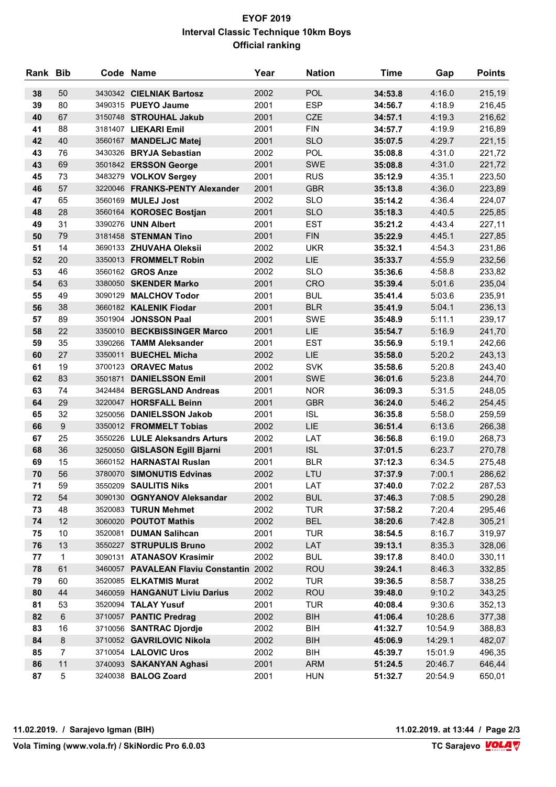## **EYOF 2019 Interval Classic Technique 10km Boys Official ranking**

| Rank Bib |                | Code Name                                             | Year         | <b>Nation</b>            | <b>Time</b>        | Gap              | <b>Points</b>    |
|----------|----------------|-------------------------------------------------------|--------------|--------------------------|--------------------|------------------|------------------|
| 38       | 50             | 3430342 CIELNIAK Bartosz                              | 2002         | POL                      | 34:53.8            | 4:16.0           | 215,19           |
| 39       | 80             | 3490315 PUEYO Jaume                                   | 2001         | <b>ESP</b>               | 34:56.7            | 4:18.9           | 216,45           |
| 40       | 67             | 3150748 STROUHAL Jakub                                | 2001         | <b>CZE</b>               | 34:57.1            | 4:19.3           | 216,62           |
| 41       | 88             | 3181407 LIEKARI Emil                                  | 2001         | <b>FIN</b>               | 34:57.7            | 4:19.9           | 216,89           |
| 42       | 40             | 3560167 MANDELJC Matej                                | 2001         | <b>SLO</b>               | 35:07.5            | 4:29.7           | 221,15           |
| 43       | 76             | 3430326 BRYJA Sebastian                               | 2002         | <b>POL</b>               | 35:08.8            | 4:31.0           | 221,72           |
| 43       | 69             | 3501842 ERSSON George                                 | 2001         | <b>SWE</b>               | 35:08.8            | 4:31.0           | 221,72           |
| 45       | 73             | 3483279 VOLKOV Sergey                                 | 2001         | <b>RUS</b>               | 35:12.9            | 4:35.1           | 223,50           |
| 46       | 57             | 3220046 FRANKS-PENTY Alexander                        | 2001         | <b>GBR</b>               | 35:13.8            | 4:36.0           | 223,89           |
| 47       | 65             | 3560169 MULEJ Jost                                    | 2002         | <b>SLO</b>               | 35:14.2            | 4:36.4           | 224,07           |
| 48       | 28             | 3560164 KOROSEC Bostjan                               | 2001         | <b>SLO</b>               | 35:18.3            | 4:40.5           | 225,85           |
| 49       | 31             | 3390276 UNN Albert                                    | 2001         | <b>EST</b>               | 35:21.2            | 4:43.4           | 227,11           |
| 50       | 79             | 3181458 STENMAN Tino                                  | 2001         | <b>FIN</b>               | 35:22.9            | 4:45.1           | 227,85           |
| 51       | 14             | 3690133 ZHUVAHA Oleksii                               | 2002         | <b>UKR</b>               | 35:32.1            | 4:54.3           | 231,86           |
| 52       | 20             | 3350013 FROMMELT Robin                                | 2002         | <b>LIE</b>               | 35:33.7            | 4:55.9           | 232,56           |
| 53       | 46             | 3560162 GROS Anze                                     | 2002         | <b>SLO</b>               | 35:36.6            | 4:58.8           | 233,82           |
| 54       | 63             | 3380050 SKENDER Marko                                 | 2001         | CRO                      | 35:39.4            | 5:01.6           | 235,04           |
| 55       | 49             | 3090129 MALCHOV Todor                                 | 2001         | <b>BUL</b>               | 35:41.4            | 5:03.6           | 235,91           |
| 56       | 38             | 3660182 KALENIK Fiodar                                | 2001         | <b>BLR</b>               | 35:41.9            | 5:04.1           | 236,13           |
| 57       | 89             | 3501904 JONSSON Paal                                  | 2001         | <b>SWE</b>               | 35:48.9            | 5:11.1           | 239,17           |
| 58       | 22             | 3350010 BECKBISSINGER Marco                           | 2001         | LIE                      | 35:54.7            | 5:16.9           | 241,70           |
| 59       | 35             | 3390266 TAMM Aleksander                               | 2001         | <b>EST</b>               | 35:56.9            | 5:19.1           | 242,66           |
| 60       | 27             | 3350011 BUECHEL Micha                                 | 2002         | <b>LIE</b>               | 35:58.0            | 5:20.2           | 243,13           |
| 61       | 19             | 3700123 ORAVEC Matus                                  | 2002         | <b>SVK</b>               | 35:58.6            | 5:20.8           | 243,40           |
| 62       | 83             | 3501871 DANIELSSON Emil                               | 2001         | <b>SWE</b>               | 36:01.6            | 5:23.8           | 244,70           |
| 63       | 74             | 3424484 BERGSLAND Andreas                             | 2001         | <b>NOR</b>               | 36:09.3            | 5:31.5           | 248,05           |
| 64       | 29             | 3220047 HORSFALL Beinn                                | 2001         | <b>GBR</b>               | 36:24.0            | 5:46.2           | 254,45           |
| 65       | 32             | 3250056 DANIELSSON Jakob                              | 2001         | <b>ISL</b>               | 36:35.8            | 5:58.0           | 259,59           |
| 66       | 9              | 3350012 FROMMELT Tobias                               | 2002         | LIE                      | 36:51.4            | 6:13.6           | 266,38           |
| 67       | 25             | 3550226 LULE Aleksandrs Arturs                        | 2002         | LAT                      | 36:56.8            | 6:19.0           | 268,73           |
| 68       | 36             | 3250050 GISLASON Egill Bjarni                         | 2001         | <b>ISL</b><br><b>BLR</b> | 37:01.5            | 6:23.7           | 270,78           |
| 69<br>70 | 15<br>56       | 3660152 HARNASTAI Ruslan<br>3780070 SIMONUTIS Edvinas | 2001<br>2002 | LTU                      | 37:12.3<br>37:37.9 | 6:34.5<br>7:00.1 | 275,48<br>286,62 |
| 71       | 59             | 3550209 SAULITIS Niks                                 | 2001         | LAT                      | 37:40.0            | 7:02.2           | 287,53           |
| 72       | 54             | 3090130 OGNYANOV Aleksandar                           | 2002         | <b>BUL</b>               | 37:46.3            | 7:08.5           | 290,28           |
| 73       | 48             | 3520083 TURUN Mehmet                                  | 2002         | <b>TUR</b>               | 37:58.2            | 7:20.4           | 295,46           |
| 74       | 12             | 3060020 POUTOT Mathis                                 | 2002         | <b>BEL</b>               | 38:20.6            | 7:42.8           | 305,21           |
| 75       | 10             | 3520081 DUMAN Salihcan                                | 2001         | <b>TUR</b>               | 38:54.5            | 8:16.7           | 319,97           |
| 76       | 13             | 3550227 STRUPULIS Bruno                               | 2002         | LAT                      | 39:13.1            | 8:35.3           | 328,06           |
| 77       | 1              | 3090131 ATANASOV Krasimir                             | 2002         | <b>BUL</b>               | 39:17.8            | 8:40.0           | 330,11           |
| 78       | 61             | 3460057 PAVALEAN Flaviu Constantin 2002               |              | <b>ROU</b>               | 39:24.1            | 8:46.3           | 332,85           |
| 79       | 60             | 3520085 ELKATMIS Murat                                | 2002         | <b>TUR</b>               | 39:36.5            | 8:58.7           | 338,25           |
| 80       | 44             | 3460059 HANGANUT Liviu Darius                         | 2002         | <b>ROU</b>               | 39:48.0            | 9:10.2           | 343,25           |
| 81       | 53             | 3520094 TALAY Yusuf                                   | 2001         | <b>TUR</b>               | 40:08.4            | 9:30.6           | 352,13           |
| 82       | 6              | 3710057 PANTIC Predrag                                | 2002         | <b>BIH</b>               | 41:06.4            | 10:28.6          | 377,38           |
| 83       | 16             | 3710056 SANTRAC Djordje                               | 2002         | BIH                      | 41:32.7            | 10:54.9          | 388,83           |
| 84       | 8              | 3710052 GAVRILOVIC Nikola                             | 2002         | <b>BIH</b>               | 45:06.9            | 14:29.1          | 482,07           |
| 85       | $\overline{7}$ | 3710054 LALOVIC Uros                                  | 2002         | BIH                      | 45:39.7            | 15:01.9          | 496,35           |
| 86       | 11             | 3740093 SAKANYAN Aghasi                               | 2001         | <b>ARM</b>               | 51:24.5            | 20:46.7          | 646,44           |
| 87       | 5              | 3240038 BALOG Zoard                                   | 2001         | <b>HUN</b>               | 51:32.7            | 20:54.9          | 650,01           |

11.02.2019. at 13:44 / Page 2/3<br>TC Sarajevo **VOLA**